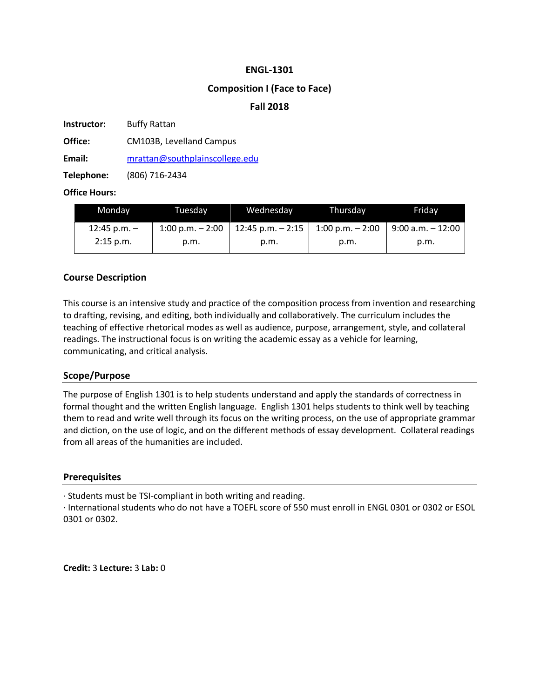#### **ENGL-1301**

## **Composition I (Face to Face)**

## **Fall 2018**

**Instructor:** Buffy Rattan

**Office:** CM103B, Levelland Campus

**Email:** mrattan@southplainscollege.edu

**Telephone:** (806) 716-2434

## **Office Hours:**

| Monday         | Tuesdav             | Wednesday           | Thursdav                   | Fridav                |
|----------------|---------------------|---------------------|----------------------------|-----------------------|
| 12:45 p.m. $-$ | $1:00$ p.m. $-2:00$ | 12:45 p.m. $-$ 2:15 | $1:00 \text{ p.m.} - 2:00$ | l 9:00 a.m. – 12:00 l |
| $2:15$ p.m.    | p.m.                | p.m.                | p.m.                       | p.m.                  |

# **Course Description**

This course is an intensive study and practice of the composition process from invention and researching to drafting, revising, and editing, both individually and collaboratively. The curriculum includes the teaching of effective rhetorical modes as well as audience, purpose, arrangement, style, and collateral readings. The instructional focus is on writing the academic essay as a vehicle for learning, communicating, and critical analysis.

#### **Scope/Purpose**

The purpose of English 1301 is to help students understand and apply the standards of correctness in formal thought and the written English language. English 1301 helps students to think well by teaching them to read and write well through its focus on the writing process, on the use of appropriate grammar and diction, on the use of logic, and on the different methods of essay development. Collateral readings from all areas of the humanities are included.

#### **Prerequisites**

· Students must be TSI-compliant in both writing and reading.

· International students who do not have a TOEFL score of 550 must enroll in ENGL 0301 or 0302 or ESOL 0301 or 0302.

**Credit:** 3 **Lecture:** 3 **Lab:** 0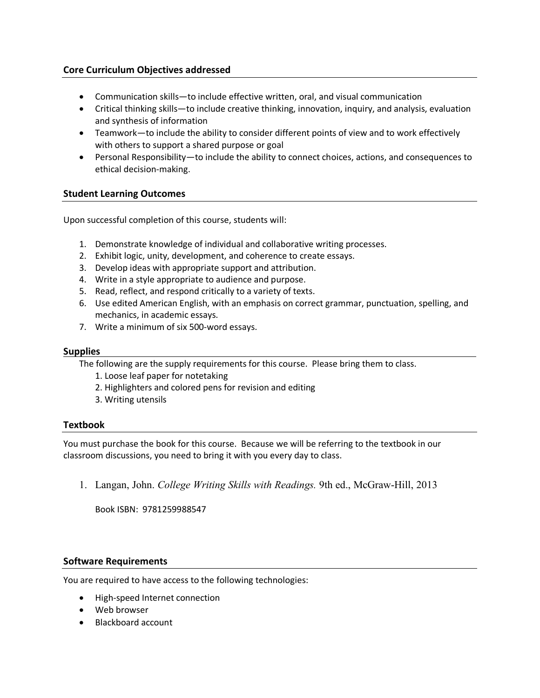## **Core Curriculum Objectives addressed**

- Communication skills—to include effective written, oral, and visual communication
- Critical thinking skills—to include creative thinking, innovation, inquiry, and analysis, evaluation and synthesis of information
- Teamwork—to include the ability to consider different points of view and to work effectively with others to support a shared purpose or goal
- Personal Responsibility—to include the ability to connect choices, actions, and consequences to ethical decision-making.

## **Student Learning Outcomes**

Upon successful completion of this course, students will:

- 1. Demonstrate knowledge of individual and collaborative writing processes.
- 2. Exhibit logic, unity, development, and coherence to create essays.
- 3. Develop ideas with appropriate support and attribution.
- 4. Write in a style appropriate to audience and purpose.
- 5. Read, reflect, and respond critically to a variety of texts.
- 6. Use edited American English, with an emphasis on correct grammar, punctuation, spelling, and mechanics, in academic essays.
- 7. Write a minimum of six 500-word essays.

#### **Supplies**

The following are the supply requirements for this course. Please bring them to class.

- 1. Loose leaf paper for notetaking
- 2. Highlighters and colored pens for revision and editing
- 3. Writing utensils

#### **Textbook**

You must purchase the book for this course. Because we will be referring to the textbook in our classroom discussions, you need to bring it with you every day to class.

1. Langan, John. *College Writing Skills with Readings.* 9th ed., McGraw-Hill, 2013

Book ISBN: 9781259988547

#### **Software Requirements**

You are required to have access to the following technologies:

- High-speed Internet connection
- Web browser
- Blackboard account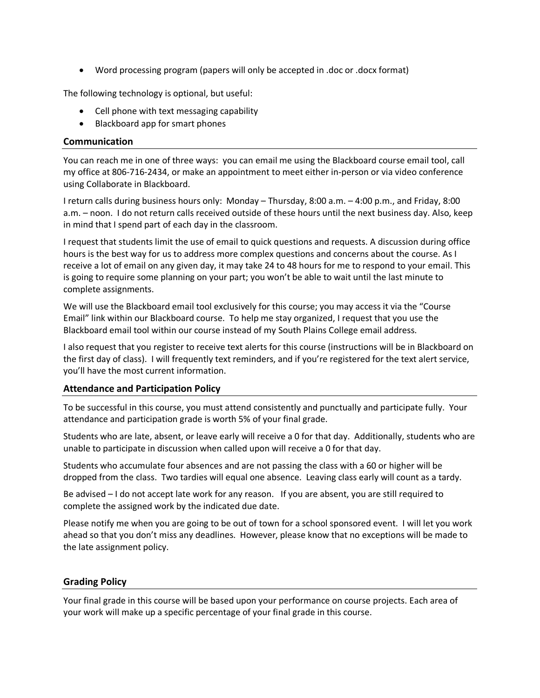• Word processing program (papers will only be accepted in .doc or .docx format)

The following technology is optional, but useful:

- Cell phone with text messaging capability
- Blackboard app for smart phones

#### **Communication**

You can reach me in one of three ways: you can email me using the Blackboard course email tool, call my office at 806-716-2434, or make an appointment to meet either in-person or via video conference using Collaborate in Blackboard.

I return calls during business hours only: Monday – Thursday, 8:00 a.m. – 4:00 p.m., and Friday, 8:00 a.m. – noon. I do not return calls received outside of these hours until the next business day. Also, keep in mind that I spend part of each day in the classroom.

I request that students limit the use of email to quick questions and requests. A discussion during office hours is the best way for us to address more complex questions and concerns about the course. As I receive a lot of email on any given day, it may take 24 to 48 hours for me to respond to your email. This is going to require some planning on your part; you won't be able to wait until the last minute to complete assignments.

We will use the Blackboard email tool exclusively for this course; you may access it via the "Course Email" link within our Blackboard course. To help me stay organized, I request that you use the Blackboard email tool within our course instead of my South Plains College email address.

I also request that you register to receive text alerts for this course (instructions will be in Blackboard on the first day of class). I will frequently text reminders, and if you're registered for the text alert service, you'll have the most current information.

#### **Attendance and Participation Policy**

To be successful in this course, you must attend consistently and punctually and participate fully. Your attendance and participation grade is worth 5% of your final grade.

Students who are late, absent, or leave early will receive a 0 for that day. Additionally, students who are unable to participate in discussion when called upon will receive a 0 for that day.

Students who accumulate four absences and are not passing the class with a 60 or higher will be dropped from the class. Two tardies will equal one absence. Leaving class early will count as a tardy.

Be advised – I do not accept late work for any reason. If you are absent, you are still required to complete the assigned work by the indicated due date.

Please notify me when you are going to be out of town for a school sponsored event. I will let you work ahead so that you don't miss any deadlines. However, please know that no exceptions will be made to the late assignment policy.

#### **Grading Policy**

Your final grade in this course will be based upon your performance on course projects. Each area of your work will make up a specific percentage of your final grade in this course.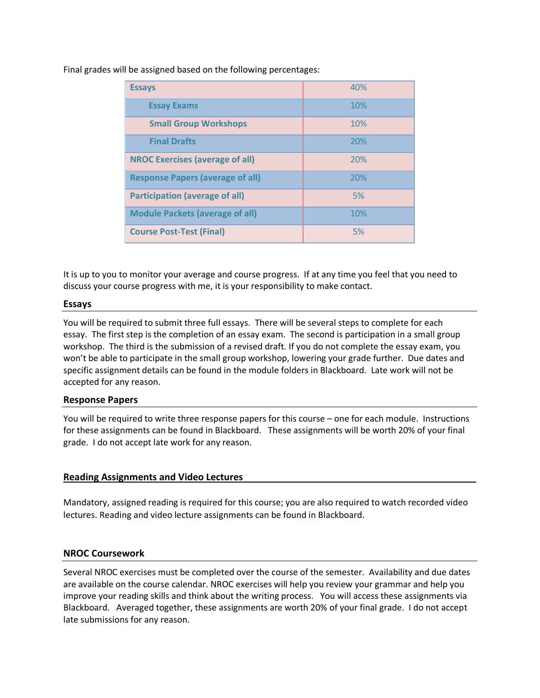Final grades will be assigned based on the following percentages:

| <b>Essays</b>                           | 40% |
|-----------------------------------------|-----|
| <b>Essay Exams</b>                      | 10% |
| <b>Small Group Workshops</b>            | 10% |
| <b>Final Drafts</b>                     | 20% |
| <b>NROC Exercises (average of all)</b>  | 20% |
| <b>Response Papers (average of all)</b> | 20% |
| <b>Participation (average of all)</b>   | 5%  |
| <b>Module Packets (average of all)</b>  | 10% |
| <b>Course Post-Test (Final)</b>         | 5%  |

It is up to you to monitor your average and course progress. If at any time you feel that you need to discuss your course progress with me, it is your responsibility to make contact.

## **Essays**

You will be required to submit three full essays. There will be several steps to complete for each essay. The first step is the completion of an essay exam. The second is participation in a small group workshop. The third is the submission of a revised draft. If you do not complete the essay exam, you won't be able to participate in the small group workshop, lowering your grade further. Due dates and specific assignment details can be found in the module folders in Blackboard. Late work will not be accepted for any reason.

#### **Response Papers**

You will be required to write three response papers for this course – one for each module. Instructions for these assignments can be found in Blackboard. These assignments will be worth 20% of your final grade. I do not accept late work for any reason.

#### **Reading Assignments and Video Lectures**

Mandatory, assigned reading is required for this course; you are also required to watch recorded video lectures. Reading and video lecture assignments can be found in Blackboard.

#### **NROC Coursework**

Several NROC exercises must be completed over the course of the semester. Availability and due dates are available on the course calendar. NROC exercises will help you review your grammar and help you improve your reading skills and think about the writing process. You will access these assignments via Blackboard. Averaged together, these assignments are worth 20% of your final grade. I do not accept late submissions for any reason.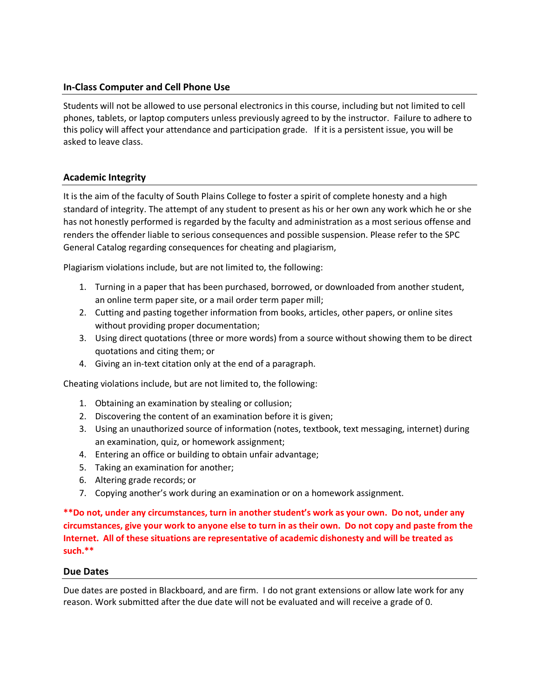## **In-Class Computer and Cell Phone Use**

Students will not be allowed to use personal electronics in this course, including but not limited to cell phones, tablets, or laptop computers unless previously agreed to by the instructor. Failure to adhere to this policy will affect your attendance and participation grade. If it is a persistent issue, you will be asked to leave class.

## **Academic Integrity**

It is the aim of the faculty of South Plains College to foster a spirit of complete honesty and a high standard of integrity. The attempt of any student to present as his or her own any work which he or she has not honestly performed is regarded by the faculty and administration as a most serious offense and renders the offender liable to serious consequences and possible suspension. Please refer to the SPC General Catalog regarding consequences for cheating and plagiarism,

Plagiarism violations include, but are not limited to, the following:

- 1. Turning in a paper that has been purchased, borrowed, or downloaded from another student, an online term paper site, or a mail order term paper mill;
- 2. Cutting and pasting together information from books, articles, other papers, or online sites without providing proper documentation;
- 3. Using direct quotations (three or more words) from a source without showing them to be direct quotations and citing them; or
- 4. Giving an in-text citation only at the end of a paragraph.

Cheating violations include, but are not limited to, the following:

- 1. Obtaining an examination by stealing or collusion;
- 2. Discovering the content of an examination before it is given;
- 3. Using an unauthorized source of information (notes, textbook, text messaging, internet) during an examination, quiz, or homework assignment;
- 4. Entering an office or building to obtain unfair advantage;
- 5. Taking an examination for another;
- 6. Altering grade records; or
- 7. Copying another's work during an examination or on a homework assignment.

**\*\*Do not, under any circumstances, turn in another student's work as your own. Do not, under any circumstances, give your work to anyone else to turn in as their own. Do not copy and paste from the Internet. All of these situations are representative of academic dishonesty and will be treated as such.\*\***

#### **Due Dates**

Due dates are posted in Blackboard, and are firm. I do not grant extensions or allow late work for any reason. Work submitted after the due date will not be evaluated and will receive a grade of 0.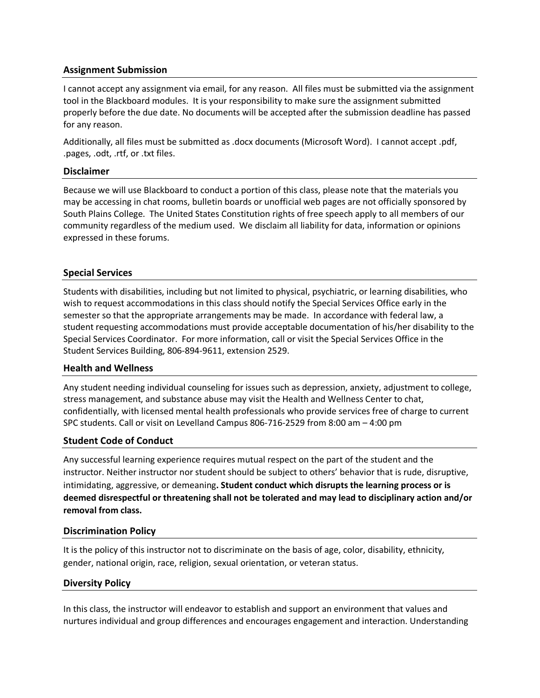## **Assignment Submission**

I cannot accept any assignment via email, for any reason. All files must be submitted via the assignment tool in the Blackboard modules. It is your responsibility to make sure the assignment submitted properly before the due date. No documents will be accepted after the submission deadline has passed for any reason.

Additionally, all files must be submitted as .docx documents (Microsoft Word). I cannot accept .pdf, .pages, .odt, .rtf, or .txt files.

### **Disclaimer**

Because we will use Blackboard to conduct a portion of this class, please note that the materials you may be accessing in chat rooms, bulletin boards or unofficial web pages are not officially sponsored by South Plains College. The United States Constitution rights of free speech apply to all members of our community regardless of the medium used. We disclaim all liability for data, information or opinions expressed in these forums.

## **Special Services**

Students with disabilities, including but not limited to physical, psychiatric, or learning disabilities, who wish to request accommodations in this class should notify the Special Services Office early in the semester so that the appropriate arrangements may be made. In accordance with federal law, a student requesting accommodations must provide acceptable documentation of his/her disability to the Special Services Coordinator. For more information, call or visit the Special Services Office in the Student Services Building, 806-894-9611, extension 2529.

#### **Health and Wellness**

Any student needing individual counseling for issues such as depression, anxiety, adjustment to college, stress management, and substance abuse may visit the Health and Wellness Center to chat, confidentially, with licensed mental health professionals who provide services free of charge to current SPC students. Call or visit on Levelland Campus 806-716-2529 from 8:00 am – 4:00 pm

#### **Student Code of Conduct**

Any successful learning experience requires mutual respect on the part of the student and the instructor. Neither instructor nor student should be subject to others' behavior that is rude, disruptive, intimidating, aggressive, or demeaning**. Student conduct which disrupts the learning process or is deemed disrespectful or threatening shall not be tolerated and may lead to disciplinary action and/or removal from class.**

#### **Discrimination Policy**

It is the policy of this instructor not to discriminate on the basis of age, color, disability, ethnicity, gender, national origin, race, religion, sexual orientation, or veteran status.

# **Diversity Policy**

In this class, the instructor will endeavor to establish and support an environment that values and nurtures individual and group differences and encourages engagement and interaction. Understanding